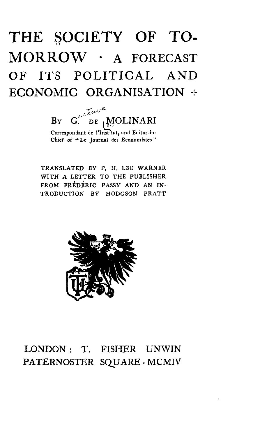# THE SOCIETY OF TO-MORROW · A FORECAST OF ITS POLITICAL AND ECONOMIC ORGANISATION +

 $G^{\mu}$   $\sqrt[n]{\alpha v^e}$  $B_Y$ DE MOLINARI Correspondant de l'Institut, and Editor-in-Chief of "Le Journal des Economistes"

TRANSLATED BY P. H. LEE WARNER WITH A LETTER TO THE PUBLISHER FROM FREDERIC PASSY AND AN IN-TRODUCTION BY HODGSON PRATT



### LONDON: T. FISHER UNWIN PATERNOSTER SQUARE.MCMIV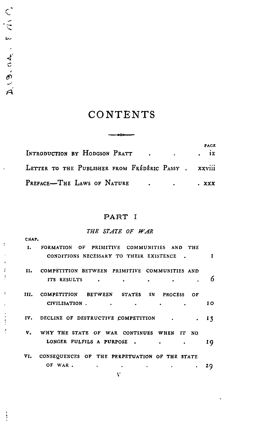### CONTENTS

يجب

|                                                      | PAGE<br>$\cdot$ ix |
|------------------------------------------------------|--------------------|
| LETTER TO THE PUBLISHER FROM FRÉDÉRIC PASSY . XXVIII |                    |
|                                                      | . XXX              |

#### PART I

#### *THE STATE OF WAR*

| СНАР. |                                                |     |
|-------|------------------------------------------------|-----|
| т.    | FORMATION OF PRIMITIVE COMMUNITIES AND THE     |     |
|       | CONDITIONS NECESSARY TO THEIR EXISTENCE.       | т   |
| п.    | COMPETITION BETWEEN PRIMITIVE COMMUNITIES AND  |     |
|       | ITS RESULTS                                    | 6   |
| ш.    | COMPETITION BETWEEN STATES IN PROCESS OF       |     |
|       | CIVILISATION.                                  | 10  |
|       | IV. DECLINE OF DESTRUCTIVE COMPETITION         | 13  |
| v.    | WHY THE STATE OF WAR CONTINUES WHEN IT NO      |     |
|       | LONGER FULFILS A PURPOSE.                      | I Q |
| VI.   | CONSEQUENCES OF THE PERPETUATION OF THE STATE  |     |
|       | OF WAR.<br>$\bullet$ . The same $\bullet$<br>٠ | zą  |
|       | v                                              |     |

CIENTES

 $\ddot{\phantom{1}}$ 

 $\bar{\rm i}$ 

 $\frac{1}{2}$ À

 $\mathbf{I}$ 

 $\frac{1}{2}$  and  $\frac{1}{2}$ ł

 $\frac{1}{2}$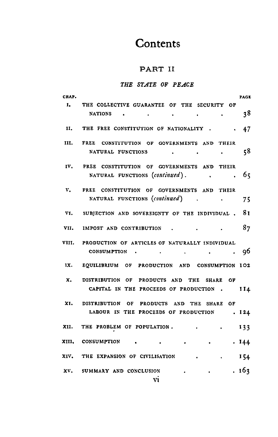# Co**n**te**n**ts

#### PART I**I**

#### *THE 8T*\_*4TE O*F *PE*A*CE*

| CHAP. |                                                                                             | PAGE  |
|-------|---------------------------------------------------------------------------------------------|-------|
|       | I. THE COLLECTIVE GUARANTEE OF THE SECURITY OF                                              | 38    |
|       | II. THE FREE CONSTITUTION OF NATIONALITY 47                                                 |       |
|       | III. FREE CONSTITUTION OF GOVERNMENTS AND THEIR<br>NATURAL FUNCTIONS .                      | 58    |
|       | IV. FREE CONSTITUTION OF GOVERNMENTS AND THEIR<br>NATURAL FUNCTIONS (continued).<br>$\sim$  | . 65  |
|       | V. FREE CONSTITUTION OF GOVERNMENTS AND THEIR<br>NATURAL FUNCTIONS (continued).             | - 75  |
|       | VI. SUBJECTION AND SOVEREIGNTY OF THE INDIVIDUAL, 81                                        |       |
|       | VII. IMPOST AND CONTRIBUTION.                                                               | - 87  |
|       | VIII. PRODUCTION OF ARTICLES OF NATURALLY INDIVIDUAL<br>CONSUMPTION                         | -96   |
|       | 1X. EQUILIBRIUM OF PRODUCTION AND CONSUMPTION 102                                           |       |
|       | X. DISTRIBUTION OF PRODUCTS AND THE SHARE OF<br>CAPITAL IN THE PROCEEDS OF PRODUCTION . II4 |       |
|       | XI. DISTRIBUTION OF PRODUCTS AND THE SHARE OF<br>LABOUR IN THE PROCEEDS OF PRODUCTION       | .124  |
|       | XII. THE PROBLEM OF POPULATION.                                                             | 133   |
|       | XIII, CONSUMPTION                                                                           | .144  |
|       | XIV. THE EXPANSION OF CIVILISATION                                                          | 154   |
|       | XV. SUMMARY AND CONCLUSION<br>$\bullet$                                                     | . 163 |

v**i**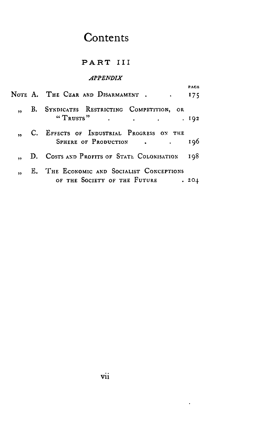## Contents

#### PART III

#### APPENDIX

|  | NOTE A. THE CZAR AND DISARMAMENT 175                                      | PAGE |
|--|---------------------------------------------------------------------------|------|
|  | ,, B. SYNDICATES RESTRICTING COMPETITION, OR                              | .192 |
|  | " C. EFFECTS OF INDUSTRIAL PROGRESS ON THE<br>SPHERE OF PRODUCTION        | 196  |
|  | " D. Costs and Profits of State Colonisation                              | 198. |
|  | E. THE ECONOMIC AND SOCIALIST CONCEPTIONS<br>OF THE SOCIETY OF THE FUTURE | .201 |

 $\epsilon$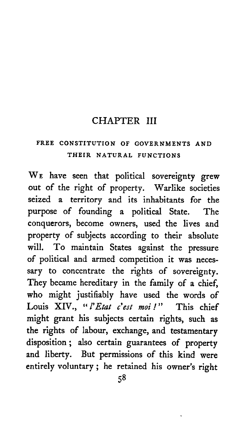### CHAPTER III

### **F**R**EE C**O**NSTITUTION** O**F GOVE**RN*M***E**N**T**S **AN**D **THEIR NATU**R**AL FUNCTIONS**

WE h**a**ve seen that p**o**litical s**o**vereignty grew out of the right of property. W**a**rlike societies seized a territory **a**nd its inh**a**bitants for the purpose of founding a political State. The conquerors, become owners, used the lives and property of subjects according to their absolute will. To maintain States against the pressure of political and armed competition it was necessary to concentrate the rights of sovereignty. They became hereditary in the family of a chief, who might justifiably have used the words of<br>Louis XIV.. "l'Etat c'est moi!" This chief Louis XIV., "*l'Etat c'est moi!*" might gr**a**nt his subjects cert**a**in rights, such **a**s the rights **o**f lab**o**ur, exch**a**nge, **a**nd t**e**st**a**ment**a**ry dispositi**o**n**; al**so cert**a**in gu**a**r**a**ntees **o**f pr**o**perty **a**nd liberty. But permissi**o**ns **o**f this kind were entirely volunt**a**ry **;** he ret**a**ined his **o**wner*'*s right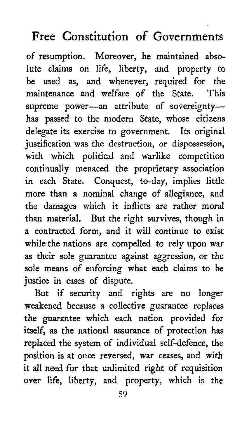of resumption. Moreover, he maintained abs*o*lute claims on life, liberty, and property to be used as, and whenever, required for the<br>maintenance and welfare of the State This maintenance and welfare of the State. supreme power-an attribute of sovereigntyhas passed to the modern State, whose citizens delegate its exercise to government*.* Its original justification was the destruction, or dispossession, with which political and warlike competition continually menaced the proprietary association in each State. Conquest, to-day, implies little more than a nominal change of allegiance, and the damages which it inflicts are rather moral than material. But the right survives, though in a contracted form, and it will c*o*ntinue to exist while the nations are compelled to rely upon war as their sole guarantee against aggression, or the sole means of enforcing what each claims to be **j**ustice in cases of dispute.

But if security and rights are no longer weakened because a collective guarantee replaces the guarantee which each nation provided for itself, as the national assurance of protection has replaced the system of individual self-defence, the position is at once reversed, war ceases, and with it all need for that unlimited right of requisition over life, liberty, and property, which is the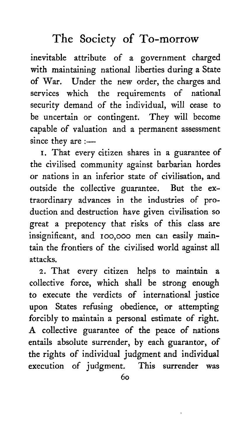inevitable attribute of a government charged with maintaining national liberties during a State of War*.* Under the new order, the charges and services which the requirements of national security demand of the individual, will cease to be uncertain or contingent. They will become capable of valuation and a permanent assessment since they are  $:$ ---

I. That every citizen shares in a guarantee of the civilised community against barbarian hordes or nations in an inferior state of civilisation, and outside the collective guarantee. But the extraordinary advances in the industries of production and destruction have given civilisation so great a prepotency that risks of this class are insignificant, and Ioo,ooo men can easily maintain the frontiers of the civilised wor**l**d against all attacks.

2. That every citizen helps to maintain a collective force, which sha**l**l be strong enough to execute the verdicts of international justice upon States refusing *o*bedience, or attempting forcibly to maintain a personal estimate of right. A collective guarantee of the peace of nations entails absolute surrender, by each guarantor, of the rights of individual judgment and individual execution of judgment*.* This surrender was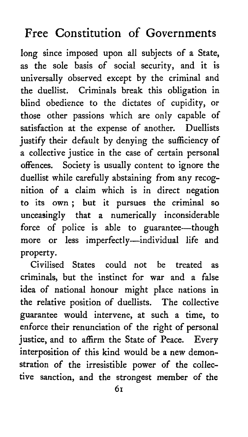long since imposed upon all sub**j**ects of a State, as the sole basis of social security, and it is universal**l**y observed except by the criminal and the due**l**list. Criminals break this obligation in blind obedience to the dictates of cupidity, or those other passions which are only capable of satisfaction at the expense of another. Duellists justify their default by denying the sufficiency of a co**l**lective justice in the case of certain personal offences. Society is usually content to ignore the duellist while carefully abstaining from any recognition of a claim which is in direct negation to its own ; but it pursues the criminal so unceasingly that a numerically inconsiderable force of police is able to guarantee---though more or less imperfectly-individual life and property.

Civilised States could not be treated as criminals, but the instinct for war and a false idea of national honour might place nations in the relative position of duellists. The collective guarantee would intervene, at such a time, to enforce their renunciation of the right of personal justice, and to affirm the State of Peace. Every interposition of this kind would be a new demonstration of the irresistible power of the collective sanction, and the strongest member of the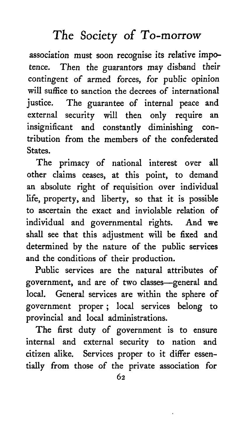association must soon recognise its relative impotence. Then the guarantors may disband their contingent of armed forces, for public opinion will suffice to sanction the decrees of international justice. The guarantee of internal peace and external security will then only require an insignificant and constantly diminishing contribution from the members of the confederated States.

The primacy of national interest over all other claims ceases, at this point, to demand an absolute right of requisition over individual life, property, and liberty, so that it is possible to ascertain the exact and inviolable relation of individual and governmental rights. And we shall see that this adjustment will be fixed and determined by the nature of the public services and the conditions of their production.

Public services are the natural attributes of government, and are of two classes-general and local. General services are within the sphere of government proper; local services belong to provincial and local administrations.

The first duty of government is to ensure internal and external security to nation and citizen alike. Services proper to it differ essentially from those of the private association for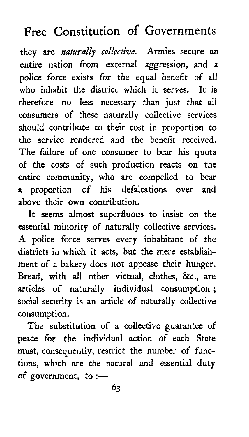they **a**re *naturally collective*. *A*rmies se**c**ure **a**n **e**ntire n**a**tion from extern**a**l **a**g**g**ression, **a**nd **a** p**o***l*ice f**o**rc**e** exists f**o**r the equ**al** benefit **o**f **a**ll wh**o** inh**a**bit the district which it serves. It is theref**o**re n**o** less necess**a**ry th**a**n just th**a**t **a**ll **co**nsumers **o**f these n**a**tur**a**lly collective services should contribute to their cost in proporti**o**n t**o** the servi**ce** rend**e**red **a**nd the benefit received. The f**a**ilure **o**f **o**ne consumer to be**a**r his quot**a o**f the **co**sts of such pr**o**duction re**a**cts on the entire **c**ommunity, who **a**r**e** compelled to bear **a** pr**o**portion of his def**a**lc**a**ti**o**ns **o**ver **a**nd **a**b**o**ve their **o**wn c**o**ntribution.

It seems **a**lm**o**st superfluous t**o** insist **o**n the essenti**a**l minority of n**a**tur**a**lly collective services. A p**o**li**c**e for**c**e serves every inh**a**bit**a**nt **o**f the districts in which it **ac**ts, but the mere est**a**blishment **o**f **a** b**a**kery d**o**es not **a**ppe**a**se their hunger. Bre**a**d**,** with **a**ll other victu**a**l, clothes*,* **&**c.**, a**re **a**rticles **o**f natur**a**lly individu**a**l c**o**nsumpti**o**n **;** so**ci**al s**ec**u**ri**ty **i**s **a**n art**i**c**l**e of n**a**turally **c**oll**ec**tive consumption.

The substitution of a collective guarantee of pea**c**e for the individual action of each St**a**te must, consequently, restrict the number of functions, which are the natural and essential duty of government, to  $:=$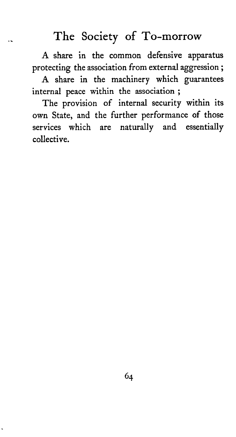A sha**r**e in the common defensive apparatus protecting the association from external aggression ;

A share in the machinery which guarantees internal peace within the association;

The provision of internal security within its own State, and the further performance of those services which are natura**l**ly and essentially **c**ollect**i**ve**.**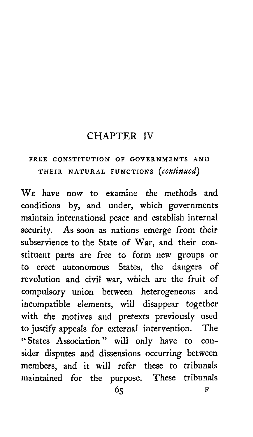### **CHAPTER IV**

### FREE CONSTITUTION OF GOVERNMENTS AND THEIR NATURAL FUNCTIONS (continued)

WE have now to examine the methods and conditions by, and under, which governments maintain international peace and establish internal security. As soon as nations emerge from their subservience to the State of War, and their constituent parts are free to form new groups or to erect autonomous States, the dangers of revolution and civil war, which are the fruit of compulsory union between heterogeneous and incompatible elements, will disappear together with the motives and pretexts previously used to justify appeals for external intervention. The "States Association" will only have to consider disputes and dissensions occurring between members, and it will refer these to tribunals maintained for the purpose. These tribunals

R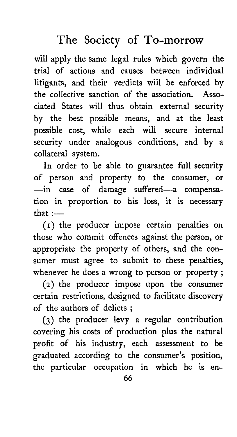wi**l**l apply the same legal rules which govern the trial of actions and causes between individual litigants, and their verdicts will be enforced by th**e** colle**c**t**i**ve sa**n**ction of th**e a**s**s**oc**ia**t**i**on. Associated States will thus obtain external se**c**urity by the best possible means, and at the **l**east possible cost, while each will secure internal security under analogous conditions, and by a collateral system.

In order to be able to guar**a**ntee full security of person and property to the consumer, or --in case of damage suffered--a compensation in proportion to his **l**oss, **i**t is necessary that  $\cdot$ 

(i) the producer impose certain penalties on those who commit offences against the person, or appropriate the property of others, and the consumer must agree to submit to these penalties, whenever he does a wrong to person or property;

(2) the producer impose upon the consumer **c**ertain restrictions, designed to facilitate discovery of the authors of delicts ;

(3) the producer levy a regular contribution covering his costs of production plus the natural profit of his industry, each assessment to be graduated according to the consumer's position, the particular occupation in which he is en-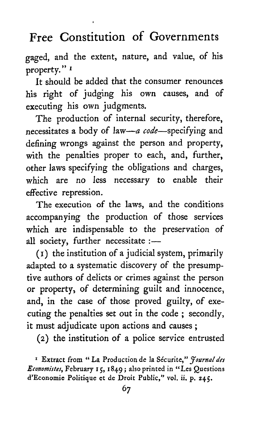gaged, and the extent, nature, and value, of his property." I

It should be added that the consumer renounces his right of judging his own causes, and of executing his own judgments.

The production of internal security, therefore, necessitates a body of law--*a* code-specifying and defining wrongs against the person and property*,* with the penalties proper to each*,* and*,* further*,* other laws specifying the obligations and charges*,* which are no *l*ess necessary to enable their effective repression.

The execution of the laws*,* and the conditions accompanying the production of those ser*v*ices which are indispensable to the preser*v*ation of all society, further necessitate :-

(I) the institution of a judicial system*,* primarily adapted to a systematic discovery of the presumptive authors of delicts or crimes against the person or property*,* of determining guilt and innocence, and*,* in the case of those proved guilty*,* of executing the penalties set out in the code ; second*l*y*,* it must adjudicate upon actions and causes ;

(2) th**e** institution of a police service entrusted

z **E***x*tr**a**ct from "**La** P**r**oduction de l**a** S\_**c**u**r**ite," *ffournalde*l *Economiste*s*,F*ebru**ar**y I \_, I8\_*.* <sup>9</sup> **;** als**o** printed in "**L**es Question**s** d**'E**c**o**n**o**mie P**o**litique et de **D**r**o**it Public**,**" v**o**l. ii. p. **z4**5.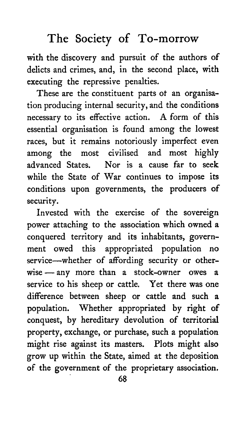with the discovery and pursuit of the authors of delicts and crimes, and, in the second place, with executing the repressive penalties.

These are the constituent parts ot an organisation producing internal security, and the conditions necessary to its effective action. A form of this essential organisation is found among the lowest races, but it remains notoriously imperfect even<br>among the most civilised and most highly among the most civilised and most highly<br>advanced States. Nor is a cause far to seek Nor is a cause far to seek while the State of War continues to impose its conditions upon governments, the producers of s**ec**u**ri**ty.

I**n**v**e**st**ed wi**th t**he exe**r**ci**s**e o**f t**h**e s**o**v**ereign power a**tt**aching** t**o** t**he** ass**oci**at**ion which o**w**ned a conquered** t**e**r**ri**t**o**r**y** a**nd i**ts **inhabi**ta**n**ts**, governme**nt **o**w**ed** t**hi**s a**ppropri**at**ed popul**at**ion no** service—whether of affording security or otherwise--any more than a stock**-**owne**r** owes a service to his sheep or cattle. Yet there was one difference between sheep or cattle and such a population. Whether appropriated by right of conquest, by hereditary devolution of territorial property, exchange, or purchase*,* such a populatio**n** m**i**ght r**i**se a**g**a**i**nst **i**ts mast**e**rs**. Pl**ots m**ig***h*t als**o** gro**w** up within the State, aimed at the deposition of the go**v**ernment of the proprietary association.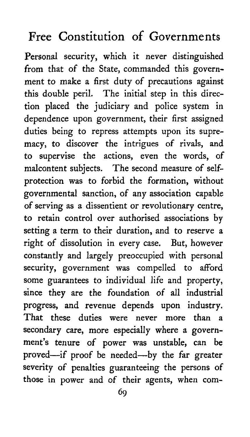Personal security, which it never distinguished from that of the State, commanded this government to make a first duty of precautions against this double peril. The initial step in this direction placed the judiciary and police system in dependence upon government, their first assigned duties being to repress attempts upon its supremacy, to discover the intrigues of rivals, and to supervise the actions, even the words, of malcontent subjects. The second measure of selfprotection was to forbid the formation, without governmental sanction, of any association capable of serving as a dissentient or revolutionary centre, to retain control over authorised associations by setting a term to their duration, and to reserve a right of dissolution in e*v*ery case. But, however constantly and largely preoccupied with personal security, government was compelled to afford some guarantees to individual life and property, since they are the foundation of all industrial progress, and revenue depends upon industry.<br>That these duties were never more than a That these duties were never more secondary care, more especially where a government's tenure of power was unstable, can be proved--if proof be needed-by the far greater severity of penalties guaranteeing the persons of those in power and of their agents, when com-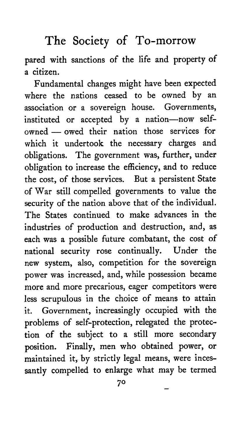pared with s**a**nctions **o**f the life and property **o**f **a** citizen.

Fund**a**ment**a**l ch**a**nges might h**a**ve been expected where the n**a**tions ce**a**sed to be owned by **a**n **a**ssoci**a**tion or **a** sovereign house. Governments, instituted or accepted by a nation-now selfowned- owed their n**a**tion those services for which it undertook the necess**a**ry ch**a**rges **a**nd oblig**a**tions. The government w**a**s, further, under **o**blig**a**tion t**o** incre**a**se the efficiency, **a**nd to reduce the cost, of those services. But **a** persistent State of W**a**r still compelled governments to v**a**lue the security of the n**a**tion **a**bove that **o**f the individu**a**l. The St**a**tes continued to make **a**dv**a**nces in the industries of production **a**nd destruction, **a**nd, **a**s e**a**ch was a possible future comb**a**t**a**nt, the c**o**st **o**f n**a**tion**a**l security rose continu**a**lly. **U**nder the new system, **a**ls**o**, c**o**mpetition for the sovereign power was incre**a**sed, and, while possession bec**a**me m**o**re **a**nd m**o**re prec**a**rious, e**a**ger competitors were less scrupulous in the choice of me**a**ns to **a**tt**a**in it. Government, incre**a**singly occupied with the problems of self-protection, releg**a**ted the pr**o**tection of the subject to **a** still more second**a**ry position. Fin**a**lly, men who **o**bt**a**ined power, **o**r m**a**int**a**ined it\_ by strictly leg**a**l me**a**ns, were incess**a**ntly compelled t**o** enl**a**rge wh**a**t m**a**y be termed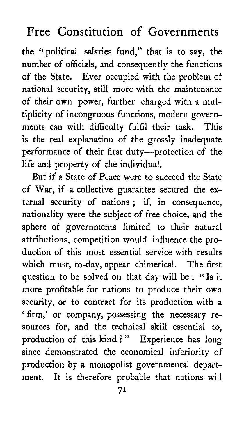the "political salaries fund," that is to say, the number of officials, and consequently the functions of the State. Ever occupied with the problem of national security, still more with the maintenance of their own po*w*er, further charged with a multiplicity of incongruous functions, modern governments can with difficulty fulfil their task. is the real explanation of the grossly inadequate performance of their first duty--protection of the life and property of the individual.

But if a State of Peace were to succeed the State of War, if a collective guarantee secured the external security of nations; if, in consequence, nationality were the subject of free choice, and the sphere of governments limited to their natural attributions, competition would influence the production of this most essential service with results which must, to-day, appear chimerical. The first question to be solved on that day will be : "Is it more profitab**l**e for nations to produce their own security, or to contract for its production with a 'firm,' or company, possessing the necessary resources for, and the technical skill essential to, production of this kind ?" Experience has long since demonstrated the economical inferiority of production by a monopolist governmental department. It is therefore probable that nations will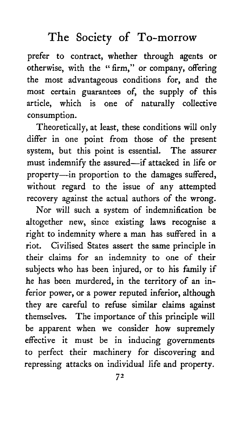prefer to contract, whether through agents or otherwise, with the "firm," or company, offering the most advantageous conditions for, and the most certain guarantees of, the supply of this article, which is one of naturally collective consumption.

Theoretically, at least, these conditions will only differ in one point from those of the present system, but this point is essential. The assurer must indemnify the assured--if attacked in life or property--in proportion to the damages suffered, without regard to the issue of any attempted recovery against the actual authors of the wrong.

Nor will such a system of indemnification be altogether new, since existing laws recognise a right to indemnity where a man has suffered in a riot*.* Civilised States assert the same principle in their claims for an indemnity to one of their subjects who has been injured, or to his family if he has been murdered, in the territory of an inferior power, or a power reputed inferior, although th**e**y ar**e ca**r**e**ful to r**e**fus**e** simil**ar cla**ims **a**g**ai**nst t**hem**s**el**v**e**s**. The impor**t**ance o**f th**i**s **p**r**incip**l**e wi**ll **b**e **appa**r**e**nt **when w**e **con**s**ider how** su**pre**m**ely e**ff**ec**t**i**v**e i**t **m**ust **be in ind**u**cing go**v**ernmen**ts t**o pe**rf**ec**t t**heir machinery** f**or di**s**co**v**ering and rep**r**e**ss**ing a**tt**ack**s **on in**d**i**v**idual** l**i**fe **and p**r**oper**t**y.**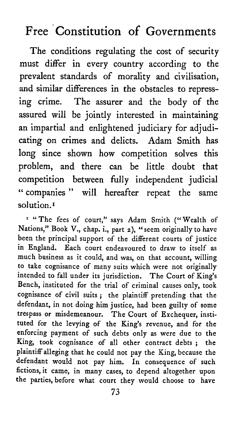The conditions regulating the cost of security mus*t* differ in every country according to the pre*v*alent standards of morality and civilisation, and similar differences in the obstacles to repressing crime. The assurer and the body of the assured will be jointly interested in maintaining an impartial and enlightened judiciary for adjudicating on crimes and delicts. Adam Smith has long since shown how competition solves this problem*,* and there can be little doubt that compe*t*ition between fully independent judicial "companies " will hereafter repeat the same solution.<sup>1</sup>

<sup>1</sup> "The fees of court," says Adam Smith ("Wealth of Nations*,*" Book V.*,* chap. i.*,* part z), "seem originally to have been the principal support of the different courts of justice in England. Each court endeavoured to draw to itself as much business as it could*,* and was*,* on that account, willing to take cognisance of many suits which were not originally intended to fall under its jurisdiction. The Court of King*'*s Bench*,* instituted for the trial of criminal causes only, took cogni**s**ance of civil suits ; the plaintiff pretending that the defendant, in not doing him **j**ustice, had been guilty of some trespass or misdemeanour. The Court of Exchequer, instituted for the levying of the King's revenue, and for the enforcing payment of such debts only as were due to the King, took cognisance of all other contract debts **;** the plaintiff alleging that he could not pay the King, because the defendant would not pay him. In consequence of such fictions, it came, in many cases, to depend altogether upon the parties, before what court they would choose to have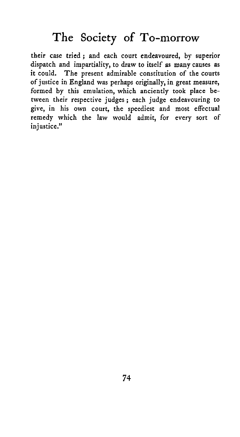their case tried**;** and each court endeavoured, by superior dispatch and impartiality, to draw to itself as many causes as The present admirable constitution of the courts of justice in England was perhaps originally, in great measure, formed by this emulation*,* which anciently took place between their respective judges; each **j**udge endeavouring to give, in his own court, the speediest and most effectual remedy which the law w*o*uld admit, for every sort of in**j**ustice."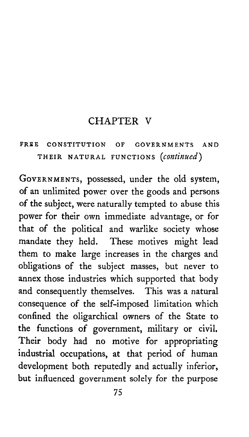### CHAPTER V

### **F**R\_**E CONST**I**T***U***TI**O**N O**F **G**O*V***E**R**NMENTS AND** THEIR NA**TUR**AL <sup>F</sup>**U**NC**T**IONS (*continued*)

GOWRN**M**ENTS, possessed, under the old system, of an unlimited power over the goods and persons of the subject, were naturally tempted to abuse this power for their own immediate advantage, or for that of the political and warlike society whose mandate they held*.* These motives might lead them to make large increases in the charges and obligations of the subject masses, but never to annex those industries which supported that body and consequently themselves. This was a natural consequence of the self-imposed limitation which confined the oligarchical owners of the State to the functions of government, military or civil, Their body had no motive for appropriating industrial occupations, at that period of human development both reputedly and actually inferior, but influenced government solely for the purpose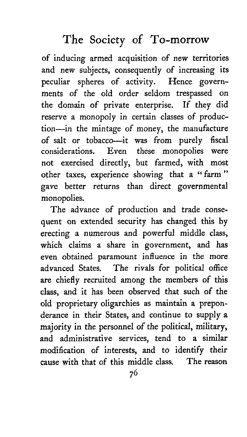of inducing armed acquisition of ne**w** territories and ne**w** subjects, consequently of increasing its peculiar spheres of activity*.* Hence governments of the old order seldom tresp**a**ssed on the domain of private enterprise. If they did reserve a monopoly in certain classes of production-in the mintage of money, the manufacture of salt or tobacco---it was from purely fiscal<br>considerations. Even these monopolies were Even these monopolies were not exercised directly, but farmed, with most other taxes, experience showing tha**t** a "farm" ga*v*e better returns than direc**t** governmen*t*al mo**n**opolies.

The advance of production and trade consequent on extended se**c**urity has changed this **b**y erecting a numerous and powerful middle class, which claims a share in government, and has even obtained paramount influence in the more ad*v*anced States. The rivals for political o**ff**ice are chiefly recruited among the members of this class, and it h**a**s been obser*v*ed **t**hat such of the old proprietary oligarchies as maintain a preponderance in their States, and continue to supply a majority in **t**he personnel of the political, military, **an**d **a**dmi**ni**strat**i**v**e** ser*v*ices, t**e**nd to **a** s**i**milar modification of interests, and to identify their<br>cause with that of this middle class. The reason cause with that of this middle class.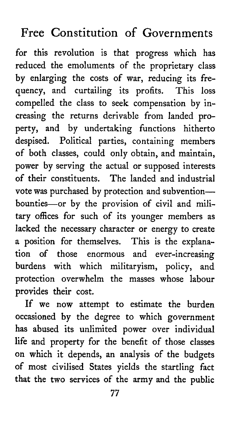for this revolution is that progress which has reduced the emoluments of the proprietary class by enlarging the costs of war, reducing its frequency, and curtailing its profits. This loss compelled the class to seek compensation by increasing the returns derivable from landed property, and by undertaking functions hitherto despised. Political parties, containing members of both classes, could only obtain, and maintain, power by serving the actual or supposed interests of their constituents. The landed and industrial vote was purchased by protection and subventionbounties-or by the provision of civil and military offices for such of its younger members as lacked the necessary character or energy to create a position for themselves. This is the explanation of those enormous and ever-increasing burdens with which militaryism, policy, and protection overwhelm the masses whose labour provides their cost.

If we now attempt to estimate the burden occasioned by the degree to which government has abused its unlimited power over individual life and property for the benefit of those classes on which it depends, an analysis of the budgets of most civilised States yields the startling fact that the two services of the army and the public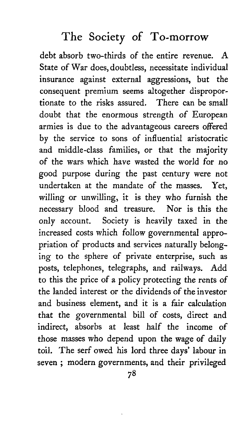debt absorb two-thirds of the entire revenue. *A* State of War does, doubtless, necessitate individual insurance against external aggressions, but the consequent premium seems altogether disproportionate to the risks assured. There can be small doubt that the enormous strength of European armies is due to the advantageous careers offered by the service to sons of influential aristocratic and middle-class families, or that the majority of the wars which have wasted the world for no good purpose during the past century were not undertaken at the mandate of the masses. Yet, willing or unwilling, it is they who furnish the necessary blood and treasure. Nor is this the only account. Society is heavily taxed in the increased costs which fo*l*low governmental appropriation of products and services naturally belonging to the sphere of private enterprise, such as posts, telephones, telegraphs, and railways. *A*dd to this the price of a policy protecting the rents of the landed interest or the dividends of the investor and business element, and it is a fair calculation that the governmental bill of costs, direct and indirect, absorbs at least half the income of those masses who depend upon the wage of daily toil. The serf owed his lord three days' labour in seven ; modern governments, and their privileged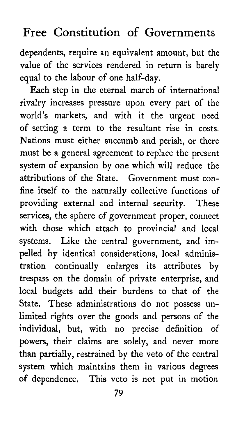dependents, require an equivalent amount, but the value of the ser*v*ices rendered in return is barely equal to the labour of one half-day.

Each step in the eternal march of international rivalry increases pressure upon every part of the world's markets, and with it the u*r*gent need of setting a term to the resultant rise in costs. Nations must either succumb and perish, or there must be a general agreement to replace the p*r*esent syste*m* of expansion by one which will reduce the attributions of the S*t*ate. Government must confine itself to the naturally collective functions of providing exter*n*al and internal security. These ser*v*ices, the sphere of government proper, connect with those which attach to provincial and local systems. Like the central government, and impelled by identical considerations, local administration continually enlarges its attributes by trespass on the domain of private enterprise, and local budgets add their burdens to that of the State*.* These administrations do not possess unlimited rights over the goods and persons of the individual, but, with no precise definition of powers, their claims are solely, and never more than partially, restrained by the veto of the central system which maintains them in various degrees of dependence. This veto is not put in motion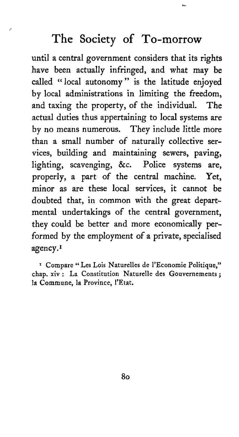until a central government considers that its rights have been actually infringed, and what may be called "local autonomy" is the latitude enjoyed by local administrations in limiting the freedom, and taxing the property, of the individual. The actual duties thus appertaining to local systems are by no means numerous. They include little more than a small number of naturally collective services, building and maintaining sewers, paving, lighting, scavenging, &c. Police systems are, properly, a part of the central machine. Yet, minor as are these local services, it cannot be doubted that, in common with the great departmental undertakings of the central government, they could be better and more economically performed by the employment of a private, specialised agency.<sup>1</sup>

<sup>1</sup> Compare "Les Lois Naturelles de l'Economie Politique," chap. xiv : La Constitution Naturelle des Gouvernements; la Commune, la Province, l'Etat.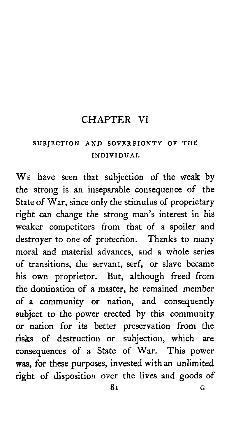### CHAPTER VI

#### S**U**BJE**CTI**O**N** AN**D SO**V**E**R**E**I**GNTY O**F **THE IN**D**IV**I**DU**AL

WE have seen that subje**c**tion of the weak by the strong is an inseparable **c**onsequen**c**e of the State of War, since onl**y** the stimulus of proprietar**y** right **c**an change the strong man's interest in his weaker competitors from that of a spoiler and destroyer to one of protection. *T*hanks to many moral and material ad*v*ances, and a whole series of transitions, the servant, serf, or slave became his own proprietor. But, although freed from the domination of a master, he remained member of a community or nation, and consequently subje**c**t to the power erected by this community or nation for its better preservation from the risks of destruction or subjection, which are consequences of a State of War. This power was, for these purposes, invested with an unlimited right of disposition over the lives and g*o*ods of 81 G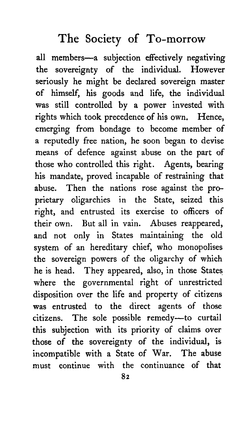all members-a subjection effectively negativing the sovereignty of the individual. However seriously he might be declared sovereign master of himse**l**f, his goods and life, the individual was still control**l**ed by a power invested with rights which took precedence of his own. Hence, emerging from bondage to become member of a reputedly free nation, he soon began to devise means of defence against abuse on the part of those who control**l**ed this right. Agents, bearing his mandate, proved incapable of restraining that abuse. Then the nations rose against the proprietary oligarchies in the State, seized this right, and entrusted its exercise to officers of their own. But all in vain. *A*buses reappeared, and not only in States maintaining the old system of an hereditary chief, who monopolises the sovereign powers of the oligarchy of which he is head. They appeared, also, in those States where the governmental right of unrestricted disposition over the life and property of citizens was entrusted to the direct agents of those citizens. The sole possible remedy--to curtail this subjection with its priority of claims over those of the sovereignty of the individual, is incompatible with a State of War. The abuse must continue with the continuance of that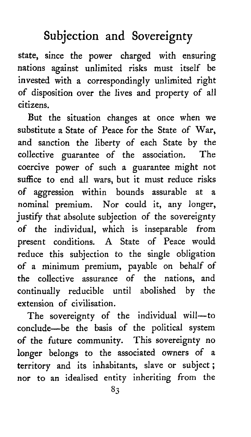# Subjection and Sovereignty

sta*t*e, since the power charged with ensuring nations against unlimited risks mus*t* itself be invested with a correspondingly unlimited right of disposition over the lives and property of all citizens.

*B*ut the situation changes at once when we substitute a S*t*ate of Peace for the State of War, and sanction the liberty of each State by the collective guarantee of the association. The coercive power of such a guaran*t*ee might not suffice to end all wars, but it must reduce risks of aggression within bounds assurable at a nominal premium. Nor could it, any longer, justify that absolute subjection of the sovereignty of the individual, which is inseparable from present conditions. A State of Peace would reduce this subjection to the single obligation of a minimum premium, pay**a**ble on behalf of the collective assurance of the n**a**tions, and continually reducible until abolished by the extension of ci*v*ilisation.

The sovereignty of the individual will-to conclude-be the basis of the political system of the future community. This sovereignty no longer belongs to the associated owners of a territory and its inhabitants, slave or subject; nor to an idealised entity inheriting from the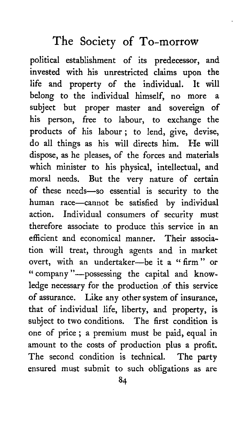**po**litical establishment **o**f its pre**d**e**c**ess**o**r, and invested with his **u**nrestricted **c**laims up**o**n the life and property of the individual. bel**o**ng t**o** the individual himself, n**o** m**o**re a subje**c**t but pr**o**per master and s**o**vereign **o**f his pers**o**n, free t**o** lab**o**ur, t**o** exchange the pr**o**ducts **o**f his lab**o**ur; t**o** lend, give, devise, d**o** all things as his will directs him. He will d**i**spos**e,** as h**e** pl**e**as**e**s**, o**f th**e** forc**e**s an**d** mat**eri**als wh**i**ch m**i**nister to h**i**s phys**i**cal*,* **i**ntellectual*,* and moral needs. But the very natur**e** of certa**i**n of these needs-so essential is security to the hum**a**n race--cannot be sat**i**sfied **b**y ind**i**v**i**dual act**i**on. Indiv**i**dual consumers of secur**i**ty must therefore assoc**i**ate to produce th**i**s serv**i**ce **i**n an efficient and economical manner. The**i**r assoc**ia**t**i**on w**i**ll treat*,* through agents and **i**n market overt, with an undertaker-be it a " firm" or "company"\_possess**i**ng the capit**a**l and knowle**d**ge necessary fo**r** the **p**roduct**i**on of this serv**i**c**e** of assurance. L**i**ke any other system of **i**nsurance*,* that of **i**ndivi**d**ual l**i**f**e***,* liberty*,* and property*,* is subj**e**ct to two cond**i**t**i**ons. The first cond**i**t**i**on **i**s one of pr**i**ce ; a premiu**m** must be pa**i**d*,* equal in amount to the costs of production plus a profit. The second condition is technical. The party ensur**e**d must subm**i**t to su**c**h obl**i**gations as are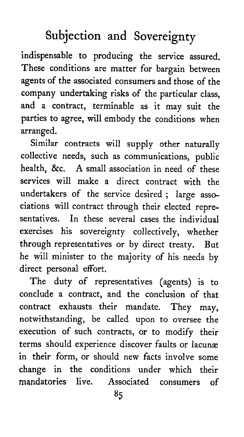# Subjection and Sovereignty

indispensable to producing the service assured. These conditions are matter for bargain between agents of the associated consumers and those of the company undertaking risks of the particular class, and a contract, terminable as it may suit the parties to agree, will embody the conditions when arranged*.*

Similar contracts will supply other naturally collective needs, such as communications, public health, &c. A small association in need of these services will make a direct contract with the under*t*akers of the service desired; large associations will contract through their elected representatives*.* In these several cases the individual exercises his sovereignty collectively, whether through represen*t*atives or by direct treaty. But he will minister to the majority of his needs by direct personal effort*.*

The duty of representatives (agents) is to conclude a contract, and the conclusion of that contract exhausts their mandate. They may, notwithstanding, be called upon *t*o oversee the execution of such contracts, or to modify their terms should experience discover faults or lacunæ in their form, or should new facts involve some change in the conditions under which their mandatories live*.* Associated consumers of